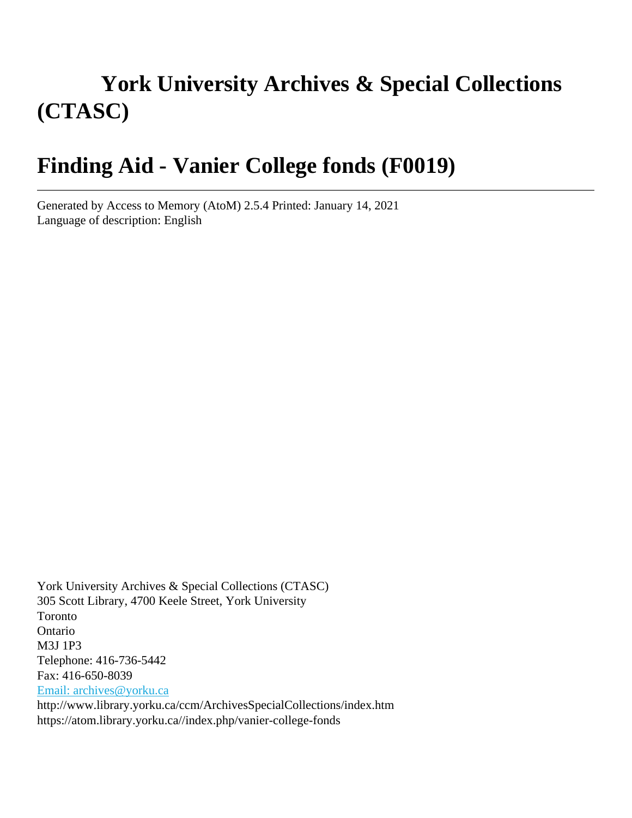# **York University Archives & Special Collections (CTASC)**

## **Finding Aid - Vanier College fonds (F0019)**

Generated by Access to Memory (AtoM) 2.5.4 Printed: January 14, 2021 Language of description: English

York University Archives & Special Collections (CTASC) 305 Scott Library, 4700 Keele Street, York University Toronto Ontario M3J 1P3 Telephone: 416-736-5442 Fax: 416-650-8039 [Email: archives@yorku.ca](mailto:Email: archives@yorku.ca) http://www.library.yorku.ca/ccm/ArchivesSpecialCollections/index.htm https://atom.library.yorku.ca//index.php/vanier-college-fonds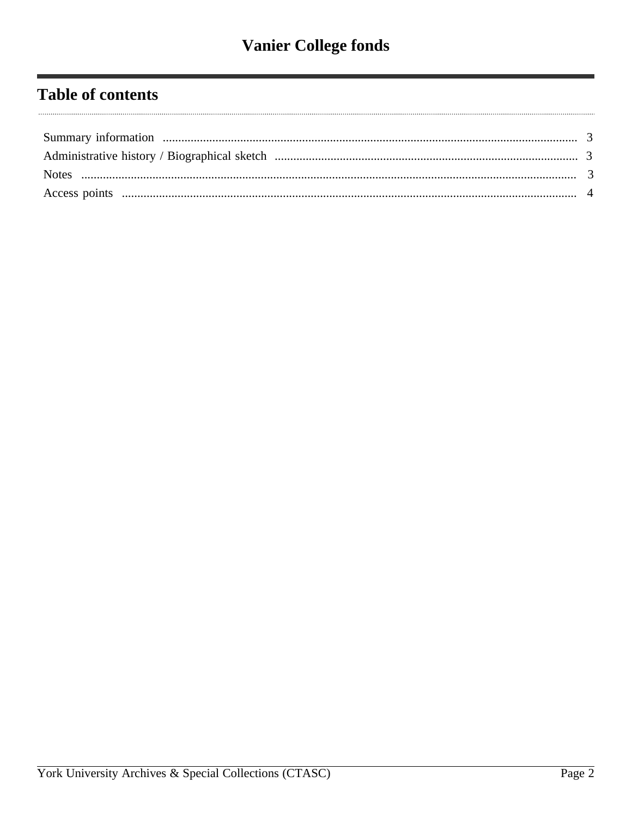## **Table of contents**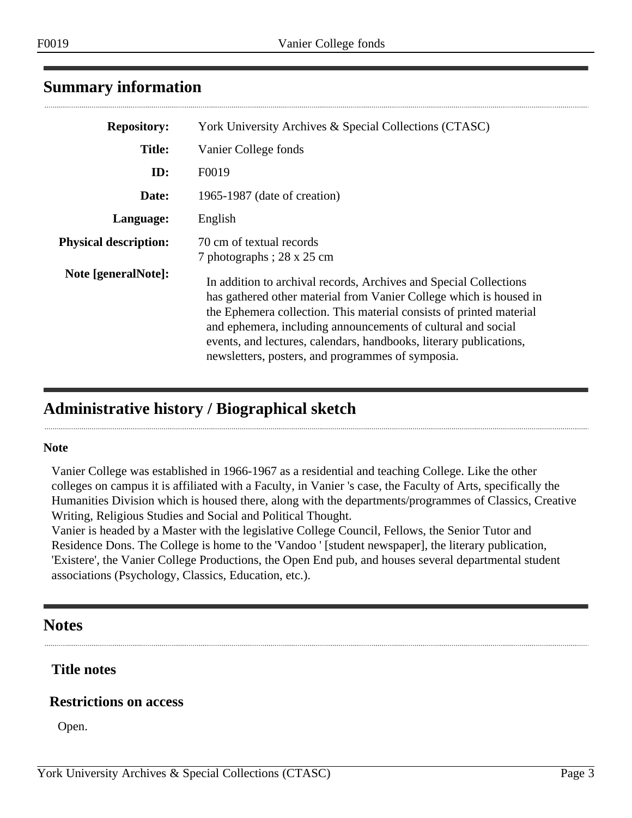### <span id="page-2-0"></span>**Summary information**

| <b>Repository:</b>           | York University Archives & Special Collections (CTASC)                                                                                                                                                                                                                                                                                                                                                    |
|------------------------------|-----------------------------------------------------------------------------------------------------------------------------------------------------------------------------------------------------------------------------------------------------------------------------------------------------------------------------------------------------------------------------------------------------------|
| <b>Title:</b>                | Vanier College fonds                                                                                                                                                                                                                                                                                                                                                                                      |
| ID:                          | F0019                                                                                                                                                                                                                                                                                                                                                                                                     |
| Date:                        | 1965-1987 (date of creation)                                                                                                                                                                                                                                                                                                                                                                              |
| Language:                    | English                                                                                                                                                                                                                                                                                                                                                                                                   |
| <b>Physical description:</b> | 70 cm of textual records<br>7 photographs; 28 x 25 cm                                                                                                                                                                                                                                                                                                                                                     |
| Note [generalNote]:          | In addition to archival records, Archives and Special Collections<br>has gathered other material from Vanier College which is housed in<br>the Ephemera collection. This material consists of printed material<br>and ephemera, including announcements of cultural and social<br>events, and lectures, calendars, handbooks, literary publications,<br>newsletters, posters, and programmes of symposia. |

## <span id="page-2-1"></span>**Administrative history / Biographical sketch**

#### **Note**

 $\cdots$ 

Vanier College was established in 1966-1967 as a residential and teaching College. Like the other colleges on campus it is affiliated with a Faculty, in Vanier 's case, the Faculty of Arts, specifically the Humanities Division which is housed there, along with the departments/programmes of Classics, Creative Writing, Religious Studies and Social and Political Thought.

Vanier is headed by a Master with the legislative College Council, Fellows, the Senior Tutor and Residence Dons. The College is home to the 'Vandoo ' [student newspaper], the literary publication, 'Existere', the Vanier College Productions, the Open End pub, and houses several departmental student associations (Psychology, Classics, Education, etc.).

#### <span id="page-2-2"></span>**Notes**

#### **Title notes**

#### **Restrictions on access**

Open.